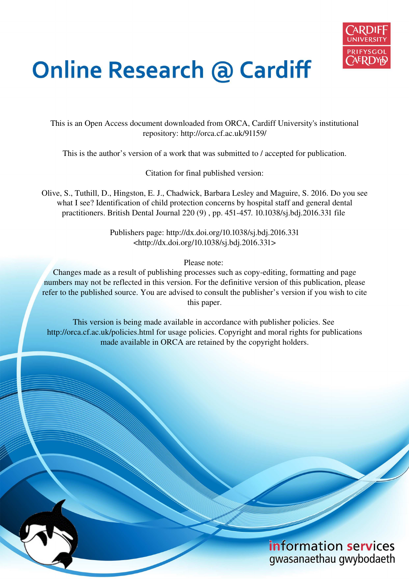

# **Online Research @ Cardiff**

This is an Open Access document downloaded from ORCA, Cardiff University's institutional repository: http://orca.cf.ac.uk/91159/

This is the author's version of a work that was submitted to / accepted for publication.

Citation for final published version:

Olive, S., Tuthill, D., Hingston, E. J., Chadwick, Barbara Lesley and Maguire, S. 2016. Do you see what I see? Identification of child protection concerns by hospital staff and general dental practitioners. British Dental Journal 220 (9) , pp. 451-457. 10.1038/sj.bdj.2016.331 file

> Publishers page: http://dx.doi.org/10.1038/sj.bdj.2016.331 <http://dx.doi.org/10.1038/sj.bdj.2016.331>

> > Please note:

Changes made as a result of publishing processes such as copy-editing, formatting and page numbers may not be reflected in this version. For the definitive version of this publication, please refer to the published source. You are advised to consult the publisher's version if you wish to cite this paper.

This version is being made available in accordance with publisher policies. See http://orca.cf.ac.uk/policies.html for usage policies. Copyright and moral rights for publications made available in ORCA are retained by the copyright holders.

# information services gwasanaethau gwybodaeth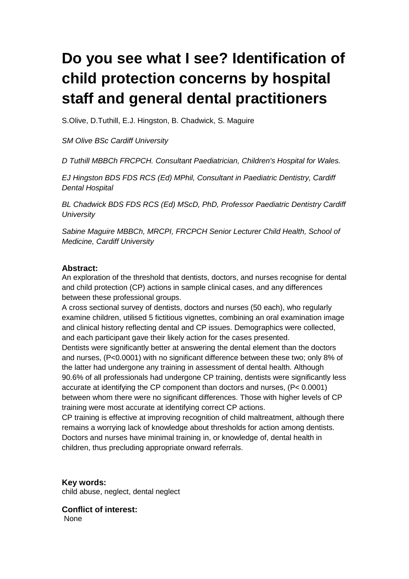# **Do you see what I see? Identification of child protection concerns by hospital staff and general dental practitioners**

S.Olive, D.Tuthill, E.J. Hingston, B. Chadwick, S. Maguire

SM Olive BSc Cardiff University

D Tuthill MBBCh FRCPCH. Consultant Paediatrician, Children's Hospital for Wales.

EJ Hingston BDS FDS RCS (Ed) MPhil, Consultant in Paediatric Dentistry, Cardiff Dental Hospital

BL Chadwick BDS FDS RCS (Ed) MScD, PhD, Professor Paediatric Dentistry Cardiff **University** 

Sabine Maguire MBBCh, MRCPI, FRCPCH Senior Lecturer Child Health, School of Medicine, Cardiff University

#### **Abstract:**

An exploration of the threshold that dentists, doctors, and nurses recognise for dental and child protection (CP) actions in sample clinical cases, and any differences between these professional groups.

A cross sectional survey of dentists, doctors and nurses (50 each), who regularly examine children, utilised 5 fictitious vignettes, combining an oral examination image and clinical history reflecting dental and CP issues. Demographics were collected, and each participant gave their likely action for the cases presented.

Dentists were significantly better at answering the dental element than the doctors and nurses, (P<0.0001) with no significant difference between these two; only 8% of the latter had undergone any training in assessment of dental health. Although 90.6% of all professionals had undergone CP training, dentists were significantly less accurate at identifying the CP component than doctors and nurses, (P< 0.0001) between whom there were no significant differences. Those with higher levels of CP training were most accurate at identifying correct CP actions.

CP training is effective at improving recognition of child maltreatment, although there remains a worrying lack of knowledge about thresholds for action among dentists. Doctors and nurses have minimal training in, or knowledge of, dental health in children, thus precluding appropriate onward referrals.

**Key words:** child abuse, neglect, dental neglect

**Conflict of interest:** None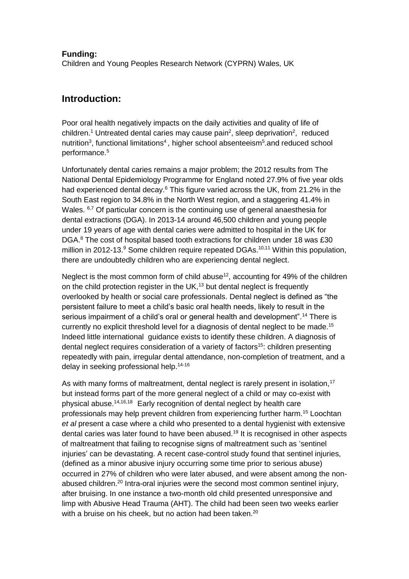#### **Funding:** Children and Young Peoples Research Network (CYPRN) Wales, UK

# **Introduction:**

Poor oral health negatively impacts on the daily activities and quality of life of children.<sup>1</sup> Untreated dental caries may cause pain<sup>2</sup>, sleep deprivation<sup>2</sup>, reduced nutrition<sup>3</sup>, functional limitations<sup>4</sup>, higher school absenteeism<sup>5</sup>.and reduced school performance.<sup>5</sup>

Unfortunately dental caries remains a major problem; the 2012 results from The National Dental Epidemiology Programme for England noted 27.9% of five year olds had experienced dental decay.<sup>6</sup> This figure varied across the UK, from 21.2% in the South East region to 34.8% in the North West region, and a staggering 41.4% in Wales. <sup>6,7</sup> Of particular concern is the continuing use of general anaesthesia for dental extractions (DGA). In 2013-14 around 46,500 children and young people under 19 years of age with dental caries were admitted to hospital in the UK for DGA.<sup>8</sup> The cost of hospital based tooth extractions for children under 18 was £30 million in 2012-13.<sup>9</sup> Some children require repeated DGAs.<sup>10,11</sup> Within this population, there are undoubtedly children who are experiencing dental neglect.

Neglect is the most common form of child abuse<sup>12</sup>, accounting for 49% of the children on the child protection register in the UK,<sup>13</sup> but dental neglect is frequently overlooked by health or social care professionals. Dental neglect is defined as "the persistent failure to meet a child's basic oral health needs, likely to result in the serious impairment of a child's oral or general health and development".<sup>14</sup> There is currently no explicit threshold level for a diagnosis of dental neglect to be made.<sup>15</sup> Indeed little international guidance exists to identify these children. A diagnosis of dental neglect requires consideration of a variety of factors<sup>15</sup>: children presenting repeatedly with pain, irregular dental attendance, non-completion of treatment, and a delay in seeking professional help.<sup>14-16</sup>

As with many forms of maltreatment, dental neglect is rarely present in isolation,<sup>17</sup> but instead forms part of the more general neglect of a child or may co-exist with physical abuse.14,16,18 Early recognition of dental neglect by health care professionals may help prevent children from experiencing further harm.<sup>15</sup> Loochtan et al present a case where a child who presented to a dental hygienist with extensive dental caries was later found to have been abused.<sup>19</sup> It is recognised in other aspects of maltreatment that failing to recognise signs of maltreatment such as 'sentinel injuries' can be devastating. A recent case-control study found that sentinel injuries, (defined as a minor abusive injury occurring some time prior to serious abuse) occurred in 27% of children who were later abused, and were absent among the nonabused children.<sup>20</sup> Intra-oral injuries were the second most common sentinel injury, after bruising. In one instance a two-month old child presented unresponsive and limp with Abusive Head Trauma (AHT). The child had been seen two weeks earlier with a bruise on his cheek, but no action had been taken.<sup>20</sup>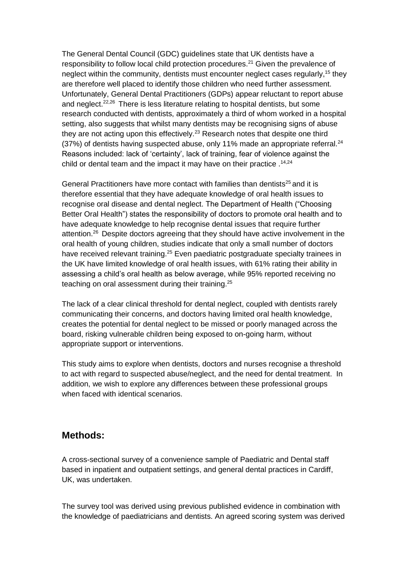The General Dental Council (GDC) guidelines state that UK dentists have a responsibility to follow local child protection procedures.<sup>21</sup> Given the prevalence of neglect within the community, dentists must encounter neglect cases regularly,<sup>15</sup> they are therefore well placed to identify those children who need further assessment. Unfortunately, General Dental Practitioners (GDPs) appear reluctant to report abuse and neglect.<sup>22,26</sup> There is less literature relating to hospital dentists, but some research conducted with dentists, approximately a third of whom worked in a hospital setting, also suggests that whilst many dentists may be recognising signs of abuse they are not acting upon this effectively.<sup>23</sup> Research notes that despite one third (37%) of dentists having suspected abuse, only 11% made an appropriate referral.<sup>24</sup> Reasons included: lack of 'certainty', lack of training, fear of violence against the child or dental team and the impact it may have on their practice .<sup>14,24</sup>

General Practitioners have more contact with families than dentists<sup>25</sup> and it is therefore essential that they have adequate knowledge of oral health issues to recognise oral disease and dental neglect. The Department of Health ("Choosing Better Oral Health") states the responsibility of doctors to promote oral health and to have adequate knowledge to help recognise dental issues that require further attention.<sup>26</sup> Despite doctors agreeing that they should have active involvement in the oral health of young children, studies indicate that only a small number of doctors have received relevant training.<sup>25</sup> Even paediatric postgraduate specialty trainees in the UK have limited knowledge of oral health issues, with 61% rating their ability in assessing a child's oral health as below average, while 95% reported receiving no teaching on oral assessment during their training.<sup>25</sup>

The lack of a clear clinical threshold for dental neglect, coupled with dentists rarely communicating their concerns, and doctors having limited oral health knowledge, creates the potential for dental neglect to be missed or poorly managed across the board, risking vulnerable children being exposed to on-going harm, without appropriate support or interventions.

This study aims to explore when dentists, doctors and nurses recognise a threshold to act with regard to suspected abuse/neglect, and the need for dental treatment. In addition, we wish to explore any differences between these professional groups when faced with identical scenarios.

### **Methods:**

A cross-sectional survey of a convenience sample of Paediatric and Dental staff based in inpatient and outpatient settings, and general dental practices in Cardiff, UK, was undertaken.

The survey tool was derived using previous published evidence in combination with the knowledge of paediatricians and dentists. An agreed scoring system was derived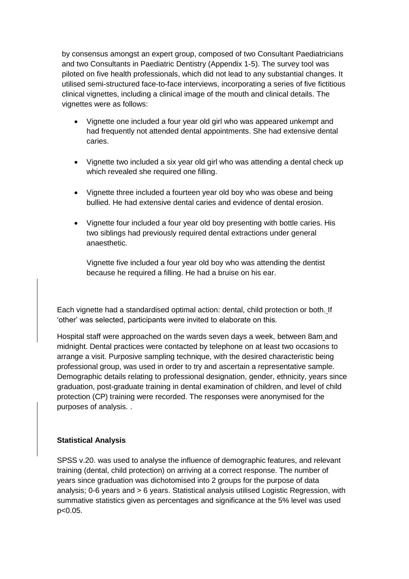by consensus amongst an expert group, composed of two Consultant Paediatricians and two Consultants in Paediatric Dentistry (Appendix 1-5). The survey tool was piloted on five health professionals, which did not lead to any substantial changes. It utilised semi-structured face-to-face interviews, incorporating a series of five fictitious clinical vignettes, including a clinical image of the mouth and clinical details. The vignettes were as follows:

- Vignette one included a four year old girl who was appeared unkempt and had frequently not attended dental appointments. She had extensive dental caries.
- Vignette two included a six year old girl who was attending a dental check up which revealed she required one filling.
- Vignette three included a fourteen year old boy who was obese and being bullied. He had extensive dental caries and evidence of dental erosion.
- Vignette four included a four year old boy presenting with bottle caries. His two siblings had previously required dental extractions under general anaesthetic.

Vignette five included a four year old boy who was attending the dentist because he required a filling. He had a bruise on his ear.

Each vignette had a standardised optimal action: dental, child protection or both. If 'other' was selected, participants were invited to elaborate on this.

Hospital staff were approached on the wards seven days a week, between 8am and midnight. Dental practices were contacted by telephone on at least two occasions to arrange a visit. Purposive sampling technique, with the desired characteristic being professional group, was used in order to try and ascertain a representative sample. Demographic details relating to professional designation, gender, ethnicity, years since graduation, post-graduate training in dental examination of children, and level of child protection (CP) training were recorded. The responses were anonymised for the purposes of analysis. .

#### **Statistical Analysis**

SPSS v.20. was used to analyse the influence of demographic features, and relevant training (dental, child protection) on arriving at a correct response. The number of years since graduation was dichotomised into 2 groups for the purpose of data analysis; 0-6 years and > 6 years. Statistical analysis utilised Logistic Regression, with summative statistics given as percentages and significance at the 5% level was used p<0.05.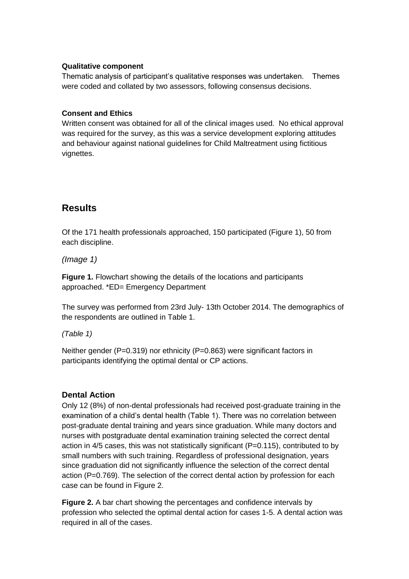#### **Qualitative component**

Thematic analysis of participant's qualitative responses was undertaken. Themes were coded and collated by two assessors, following consensus decisions.

#### **Consent and Ethics**

Written consent was obtained for all of the clinical images used. No ethical approval was required for the survey, as this was a service development exploring attitudes and behaviour against national guidelines for Child Maltreatment using fictitious vignettes.

# **Results**

Of the 171 health professionals approached, 150 participated (Figure 1), 50 from each discipline.

(Image 1)

**Figure 1.** Flowchart showing the details of the locations and participants approached. \*ED= Emergency Department

The survey was performed from 23rd July- 13th October 2014. The demographics of the respondents are outlined in Table 1.

(Table 1)

Neither gender (P=0.319) nor ethnicity (P=0.863) were significant factors in participants identifying the optimal dental or CP actions.

#### **Dental Action**

Only 12 (8%) of non-dental professionals had received post-graduate training in the examination of a child's dental health (Table 1). There was no correlation between post-graduate dental training and years since graduation. While many doctors and nurses with postgraduate dental examination training selected the correct dental action in 4/5 cases, this was not statistically significant (P=0.115), contributed to by small numbers with such training. Regardless of professional designation, years since graduation did not significantly influence the selection of the correct dental action (P=0.769). The selection of the correct dental action by profession for each case can be found in Figure 2.

**Figure 2.** A bar chart showing the percentages and confidence intervals by profession who selected the optimal dental action for cases 1-5. A dental action was required in all of the cases.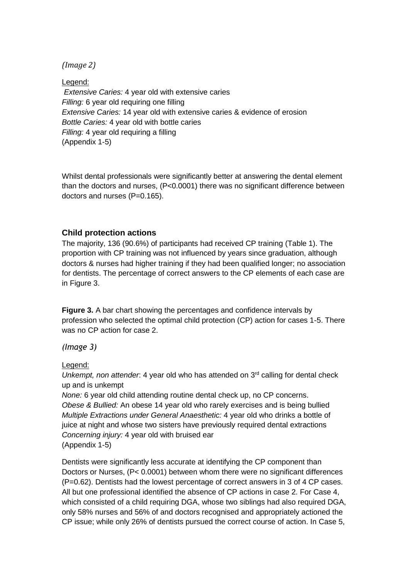*(Image 2)* 

Legend: Extensive Caries: 4 year old with extensive caries Filling: 6 year old requiring one filling Extensive Caries: 14 year old with extensive caries & evidence of erosion Bottle Caries: 4 year old with bottle caries Filling: 4 year old requiring a filling (Appendix 1-5)

Whilst dental professionals were significantly better at answering the dental element than the doctors and nurses, (P<0.0001) there was no significant difference between doctors and nurses (P=0.165).

#### **Child protection actions**

The majority, 136 (90.6%) of participants had received CP training (Table 1). The proportion with CP training was not influenced by years since graduation, although doctors & nurses had higher training if they had been qualified longer; no association for dentists. The percentage of correct answers to the CP elements of each case are in Figure 3.

**Figure 3.** A bar chart showing the percentages and confidence intervals by profession who selected the optimal child protection (CP) action for cases 1-5. There was no CP action for case 2.

*(Image 3)* 

Legend:

Unkempt, non attender: 4 year old who has attended on  $3<sup>rd</sup>$  calling for dental check up and is unkempt

None: 6 year old child attending routine dental check up, no CP concerns. Obese & Bullied: An obese 14 year old who rarely exercises and is being bullied Multiple Extractions under General Anaesthetic: 4 year old who drinks a bottle of juice at night and whose two sisters have previously required dental extractions Concerning injury: 4 year old with bruised ear (Appendix 1-5)

Dentists were significantly less accurate at identifying the CP component than Doctors or Nurses, (P< 0.0001) between whom there were no significant differences (P=0.62). Dentists had the lowest percentage of correct answers in 3 of 4 CP cases. All but one professional identified the absence of CP actions in case 2. For Case 4, which consisted of a child requiring DGA, whose two siblings had also required DGA, only 58% nurses and 56% of and doctors recognised and appropriately actioned the CP issue; while only 26% of dentists pursued the correct course of action. In Case 5,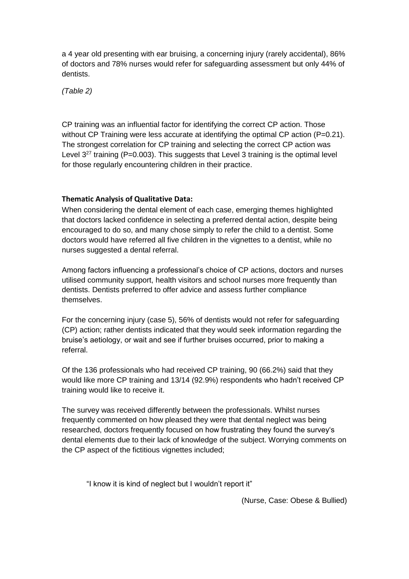a 4 year old presenting with ear bruising, a concerning injury (rarely accidental), 86% of doctors and 78% nurses would refer for safeguarding assessment but only 44% of dentists.

(Table 2)

CP training was an influential factor for identifying the correct CP action. Those without CP Training were less accurate at identifying the optimal CP action  $(P=0.21)$ . The strongest correlation for CP training and selecting the correct CP action was Level  $3^{27}$  training (P=0.003). This suggests that Level 3 training is the optimal level for those regularly encountering children in their practice.

#### **Thematic Analysis of Qualitative Data:**

When considering the dental element of each case, emerging themes highlighted that doctors lacked confidence in selecting a preferred dental action, despite being encouraged to do so, and many chose simply to refer the child to a dentist. Some doctors would have referred all five children in the vignettes to a dentist, while no nurses suggested a dental referral.

Among factors influencing a professional's choice of CP actions, doctors and nurses utilised community support, health visitors and school nurses more frequently than dentists. Dentists preferred to offer advice and assess further compliance themselves.

For the concerning injury (case 5), 56% of dentists would not refer for safeguarding (CP) action; rather dentists indicated that they would seek information regarding the bruise's aetiology, or wait and see if further bruises occurred, prior to making a referral.

Of the 136 professionals who had received CP training, 90 (66.2%) said that they would like more CP training and 13/14 (92.9%) respondents who hadn't received CP training would like to receive it.

The survey was received differently between the professionals. Whilst nurses frequently commented on how pleased they were that dental neglect was being researched, doctors frequently focused on how frustrating they found the survey's dental elements due to their lack of knowledge of the subject. Worrying comments on the CP aspect of the fictitious vignettes included;

"I know it is kind of neglect but I wouldn't report it"

(Nurse, Case: Obese & Bullied)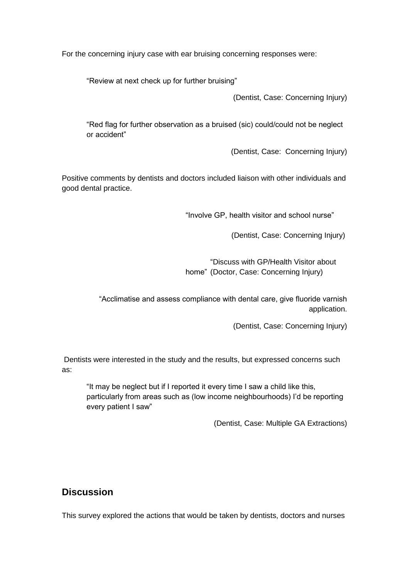For the concerning injury case with ear bruising concerning responses were:

"Review at next check up for further bruising"

(Dentist, Case: Concerning Injury)

"Red flag for further observation as a bruised (sic) could/could not be neglect or accident"

(Dentist, Case: Concerning Injury)

Positive comments by dentists and doctors included liaison with other individuals and good dental practice.

"Involve GP, health visitor and school nurse"

(Dentist, Case: Concerning Injury)

"Discuss with GP/Health Visitor about home" (Doctor, Case: Concerning Injury)

"Acclimatise and assess compliance with dental care, give fluoride varnish application.

(Dentist, Case: Concerning Injury)

 Dentists were interested in the study and the results, but expressed concerns such as:

"It may be neglect but if I reported it every time I saw a child like this, particularly from areas such as (low income neighbourhoods) I'd be reporting every patient I saw"

(Dentist, Case: Multiple GA Extractions)

# **Discussion**

This survey explored the actions that would be taken by dentists, doctors and nurses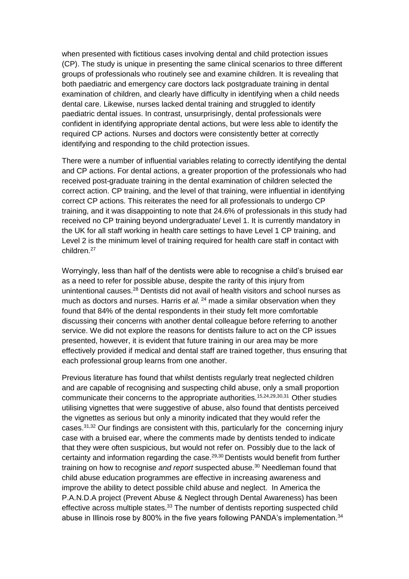when presented with fictitious cases involving dental and child protection issues (CP). The study is unique in presenting the same clinical scenarios to three different groups of professionals who routinely see and examine children. It is revealing that both paediatric and emergency care doctors lack postgraduate training in dental examination of children, and clearly have difficulty in identifying when a child needs dental care. Likewise, nurses lacked dental training and struggled to identify paediatric dental issues. In contrast, unsurprisingly, dental professionals were confident in identifying appropriate dental actions, but were less able to identify the required CP actions. Nurses and doctors were consistently better at correctly identifying and responding to the child protection issues.

There were a number of influential variables relating to correctly identifying the dental and CP actions. For dental actions, a greater proportion of the professionals who had received post-graduate training in the dental examination of children selected the correct action. CP training, and the level of that training, were influential in identifying correct CP actions. This reiterates the need for all professionals to undergo CP training, and it was disappointing to note that 24.6% of professionals in this study had received no CP training beyond undergraduate/ Level 1. It is currently mandatory in the UK for all staff working in health care settings to have Level 1 CP training, and Level 2 is the minimum level of training required for health care staff in contact with children.<sup>27</sup>

Worryingly, less than half of the dentists were able to recognise a child's bruised ear as a need to refer for possible abuse, despite the rarity of this injury from unintentional causes.<sup>28</sup> Dentists did not avail of health visitors and school nurses as much as doctors and nurses. Harris et al.  $24$  made a similar observation when they found that 84% of the dental respondents in their study felt more comfortable discussing their concerns with another dental colleague before referring to another service. We did not explore the reasons for dentists failure to act on the CP issues presented, however, it is evident that future training in our area may be more effectively provided if medical and dental staff are trained together, thus ensuring that each professional group learns from one another.

Previous literature has found that whilst dentists regularly treat neglected children and are capable of recognising and suspecting child abuse, only a small proportion communicate their concerns to the appropriate authorities.15,24,29,30,31 Other studies utilising vignettes that were suggestive of abuse, also found that dentists perceived the vignettes as serious but only a minority indicated that they would refer the cases.<sup>31,32</sup> Our findings are consistent with this, particularly for the concerning injury case with a bruised ear, where the comments made by dentists tended to indicate that they were often suspicious, but would not refer on. Possibly due to the lack of certainty and information regarding the case.29,30 Dentists would benefit from further training on how to recognise and report suspected abuse. $30$  Needleman found that child abuse education programmes are effective in increasing awareness and improve the ability to detect possible child abuse and neglect. In America the P.A.N.D.A project (Prevent Abuse & Neglect through Dental Awareness) has been effective across multiple states.<sup>33</sup> The number of dentists reporting suspected child abuse in Illinois rose by 800% in the five years following PANDA's implementation.<sup>34</sup>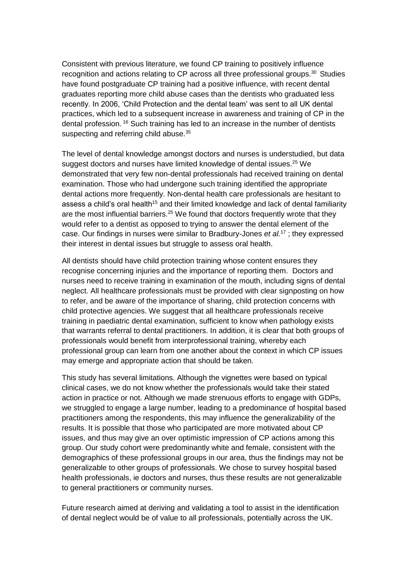Consistent with previous literature, we found CP training to positively influence recognition and actions relating to  $CP$  across all three professional groups.<sup>30</sup> Studies have found postgraduate CP training had a positive influence, with recent dental graduates reporting more child abuse cases than the dentists who graduated less recently. In 2006, 'Child Protection and the dental team' was sent to all UK dental practices, which led to a subsequent increase in awareness and training of CP in the dental profession. <sup>16</sup> Such training has led to an increase in the number of dentists suspecting and referring child abuse.<sup>35</sup>

The level of dental knowledge amongst doctors and nurses is understudied, but data suggest doctors and nurses have limited knowledge of dental issues.<sup>25</sup> We demonstrated that very few non-dental professionals had received training on dental examination. Those who had undergone such training identified the appropriate dental actions more frequently. Non-dental health care professionals are hesitant to assess a child's oral health<sup>15</sup> and their limited knowledge and lack of dental familiarity are the most influential barriers.<sup>25</sup> We found that doctors frequently wrote that they would refer to a dentist as opposed to trying to answer the dental element of the case. Our findings in nurses were similar to Bradbury-Jones et al.<sup>17</sup> ; they expressed their interest in dental issues but struggle to assess oral health.

All dentists should have child protection training whose content ensures they recognise concerning injuries and the importance of reporting them. Doctors and nurses need to receive training in examination of the mouth, including signs of dental neglect. All healthcare professionals must be provided with clear signposting on how to refer, and be aware of the importance of sharing, child protection concerns with child protective agencies. We suggest that all healthcare professionals receive training in paediatric dental examination, sufficient to know when pathology exists that warrants referral to dental practitioners. In addition, it is clear that both groups of professionals would benefit from interprofessional training, whereby each professional group can learn from one another about the context in which CP issues may emerge and appropriate action that should be taken.

This study has several limitations. Although the vignettes were based on typical clinical cases, we do not know whether the professionals would take their stated action in practice or not. Although we made strenuous efforts to engage with GDPs, we struggled to engage a large number, leading to a predominance of hospital based practitioners among the respondents, this may influence the generalizability of the results. It is possible that those who participated are more motivated about CP issues, and thus may give an over optimistic impression of CP actions among this group. Our study cohort were predominantly white and female, consistent with the demographics of these professional groups in our area, thus the findings may not be generalizable to other groups of professionals. We chose to survey hospital based health professionals, ie doctors and nurses, thus these results are not generalizable to general practitioners or community nurses.

Future research aimed at deriving and validating a tool to assist in the identification of dental neglect would be of value to all professionals, potentially across the UK.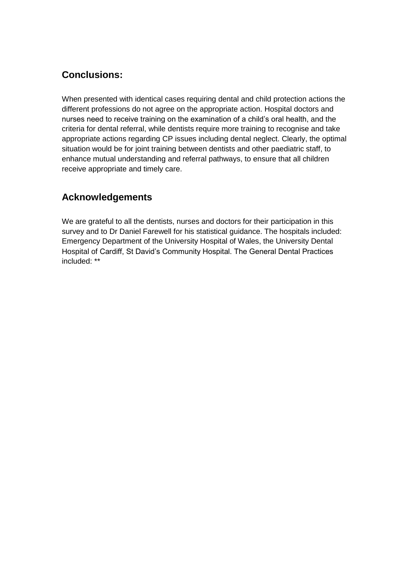# **Conclusions:**

When presented with identical cases requiring dental and child protection actions the different professions do not agree on the appropriate action. Hospital doctors and nurses need to receive training on the examination of a child's oral health, and the criteria for dental referral, while dentists require more training to recognise and take appropriate actions regarding CP issues including dental neglect. Clearly, the optimal situation would be for joint training between dentists and other paediatric staff, to enhance mutual understanding and referral pathways, to ensure that all children receive appropriate and timely care.

# **Acknowledgements**

We are grateful to all the dentists, nurses and doctors for their participation in this survey and to Dr Daniel Farewell for his statistical guidance. The hospitals included: Emergency Department of the University Hospital of Wales, the University Dental Hospital of Cardiff, St David's Community Hospital. The General Dental Practices included: \*\*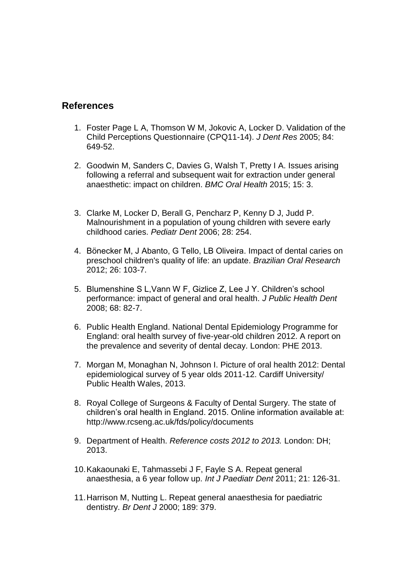### **References**

- 1. Foster Page L A, Thomson W M, Jokovic A, Locker D. Validation of the Child Perceptions Questionnaire (CPQ11-14). J Dent Res 2005; 84: 649-52.
- 2. Goodwin M, Sanders C, Davies G, Walsh T, Pretty I A. Issues arising following a referral and subsequent wait for extraction under general anaesthetic: impact on children. BMC Oral Health 2015; 15: 3.
- 3. Clarke M, Locker D, Berall G, Pencharz P, Kenny D J, Judd P. Malnourishment in a population of young children with severe early childhood caries. Pediatr Dent 2006; 28: 254.
- 4. B̈necker M, J Abanto, G Tello, LB Oliveira. Impact of dental caries on preschool children's quality of life: an update. Brazilian Oral Research 2012; 26: 103-7.
- 5. Blumenshine S L,Vann W F, Gizlice Z, Lee J Y. Children's school performance: impact of general and oral health. J Public Health Dent 2008; 68: 82-7.
- 6. Public Health England. National Dental Epidemiology Programme for England: oral health survey of five-year-old children 2012. A report on the prevalence and severity of dental decay. London: PHE 2013.
- 7. Morgan M, Monaghan N, Johnson I. Picture of oral health 2012: Dental epidemiological survey of 5 year olds 2011-12. Cardiff University/ Public Health Wales, 2013.
- 8. Royal College of Surgeons & Faculty of Dental Surgery. The state of children's oral health in England. 2015. Online information available at: http://www.rcseng.ac.uk/fds/policy/documents
- 9. Department of Health. Reference costs 2012 to 2013. London: DH; 2013.
- 10. Kakaounaki E, Tahmassebi J F, Fayle S A. Repeat general anaesthesia, a 6 year follow up. Int J Paediatr Dent 2011; 21: 126-31.
- 11. Harrison M, Nutting L. Repeat general anaesthesia for paediatric dentistry. Br Dent J 2000; 189: 379.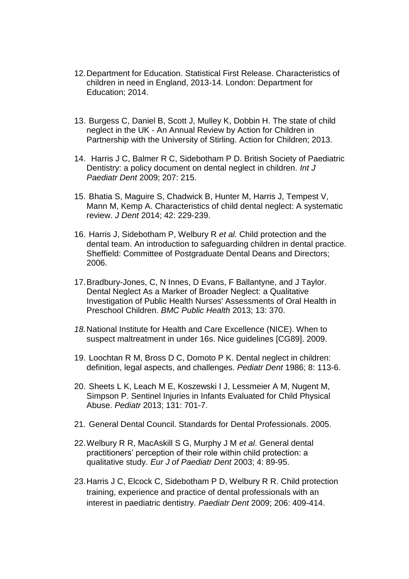- 12. Department for Education. Statistical First Release. Characteristics of children in need in England, 2013-14. London: Department for Education; 2014.
- 13. Burgess C, Daniel B, Scott J, Mulley K, Dobbin H. The state of child neglect in the UK - An Annual Review by Action for Children in Partnership with the University of Stirling. Action for Children; 2013.
- 14. Harris J C, Balmer R C, Sidebotham P D. British Society of Paediatric Dentistry: a policy document on dental neglect in children. Int J Paediatr Dent 2009; 207: 215.
- 15. Bhatia S, Maguire S, Chadwick B, Hunter M, Harris J, Tempest V, Mann M, Kemp A. Characteristics of child dental neglect: A systematic review. J Dent 2014; 42: 229-239.
- 16. Harris J, Sidebotham P, Welbury R et al. Child protection and the dental team. An introduction to safeguarding children in dental practice. Sheffield: Committee of Postgraduate Dental Deans and Directors; 2006.
- 17. Bradbury-Jones, C, N Innes, D Evans, F Ballantyne, and J Taylor. Dental Neglect As a Marker of Broader Neglect: a Qualitative Investigation of Public Health Nurses' Assessments of Oral Health in Preschool Children. BMC Public Health 2013; 13: 370.
- 18.National Institute for Health and Care Excellence (NICE). When to suspect maltreatment in under 16s. Nice guidelines [CG89]. 2009.
- 19. Loochtan R M, Bross D C, Domoto P K. Dental neglect in children: definition, legal aspects, and challenges. Pediatr Dent 1986; 8: 113-6.
- 20. Sheets L K, Leach M E, Koszewski I J, Lessmeier A M, Nugent M, Simpson P. Sentinel Injuries in Infants Evaluated for Child Physical Abuse. Pediatr 2013; 131: 701-7.
- 21. General Dental Council. Standards for Dental Professionals. 2005.
- 22. Welbury R R, MacAskill S G, Murphy J M et al. General dental practitioners' perception of their role within child protection: a qualitative study. Eur J of Paediatr Dent 2003; 4: 89-95.
- 23. Harris J C, Elcock C, Sidebotham P D, Welbury R R. Child protection training, experience and practice of dental professionals with an interest in paediatric dentistry. Paediatr Dent 2009; 206: 409-414.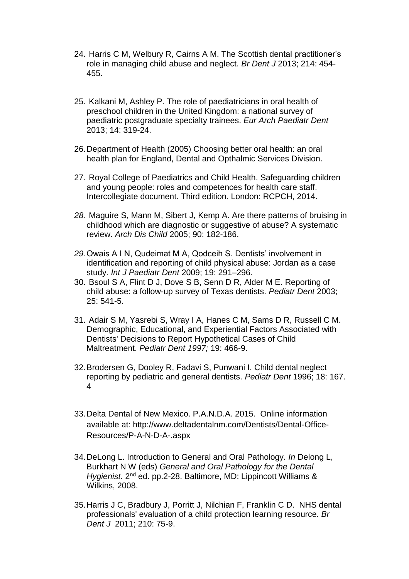- 24. Harris C M, Welbury R, Cairns A M. The Scottish dental practitioner's role in managing child abuse and neglect. Br Dent J 2013; 214: 454- 455.
- 25. Kalkani M, Ashley P. The role of paediatricians in oral health of preschool children in the United Kingdom: a national survey of paediatric postgraduate specialty trainees. Eur Arch Paediatr Dent 2013; 14: 319-24.
- 26. Department of Health (2005) Choosing better oral health: an oral health plan for England, Dental and Opthalmic Services Division.
- 27. Royal College of Paediatrics and Child Health. Safeguarding children and young people: roles and competences for health care staff. Intercollegiate document. Third edition. London: RCPCH, 2014.
- 28. Maguire S, Mann M, Sibert J, Kemp A. Are there patterns of bruising in childhood which are diagnostic or suggestive of abuse? A systematic review. Arch Dis Child 2005; 90: 182-186.
- 29.Owais A I N, Qudeimat M A, Qodceih S. Dentists' involvement in identification and reporting of child physical abuse: Jordan as a case study. Int J Paediatr Dent 2009; 19: 291–296.
- 30. Bsoul S A, Flint D J, Dove S B, Senn D R, Alder M E. Reporting of child abuse: a follow-up survey of Texas dentists. Pediatr Dent 2003; 25: 541-5.
- 31. Adair S M, Yasrebi S, Wray I A, Hanes C M, Sams D R, Russell C M. Demographic, Educational, and Experiential Factors Associated with Dentists' Decisions to Report Hypothetical Cases of Child Maltreatment. Pediatr Dent 1997; 19: 466-9.
- 32. Brodersen G, Dooley R, Fadavi S, Punwani I. Child dental neglect reporting by pediatric and general dentists. Pediatr Dent 1996; 18: 167. 4
- 33. Delta Dental of New Mexico. P.A.N.D.A. 2015. Online information available at: http://www.deltadentalnm.com/Dentists/Dental-Office-Resources/P-A-N-D-A-.aspx
- 34. DeLong L. Introduction to General and Oral Pathology. In Delong L, Burkhart N W (eds) General and Oral Pathology for the Dental Hygienist. 2<sup>nd</sup> ed. pp.2-28. Baltimore, MD: Lippincott Williams & Wilkins, 2008.
- 35. Harris J C, Bradbury J, Porritt J, Nilchian F, Franklin C D. NHS dental professionals' evaluation of a child protection learning resource. Br Dent J 2011; 210: 75-9.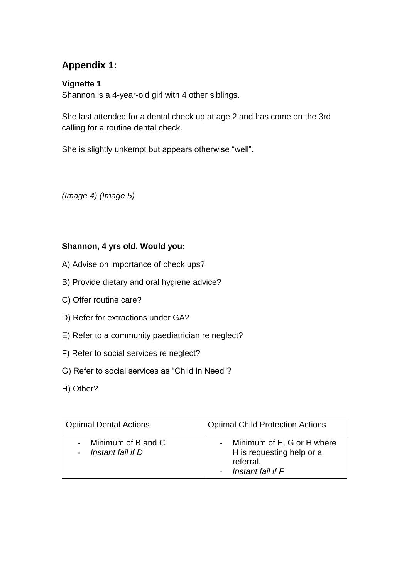# **Appendix 1:**

## **Vignette 1**

Shannon is a 4-year-old girl with 4 other siblings.

She last attended for a dental check up at age 2 and has come on the 3rd calling for a routine dental check.

She is slightly unkempt but appears otherwise "well".

(Image 4) (Image 5)

# **Shannon, 4 yrs old. Would you:**

- A) Advise on importance of check ups?
- B) Provide dietary and oral hygiene advice?
- C) Offer routine care?
- D) Refer for extractions under GA?
- E) Refer to a community paediatrician re neglect?
- F) Refer to social services re neglect?
- G) Refer to social services as "Child in Need"?
- H) Other?

| <b>Optimal Dental Actions</b>               | <b>Optimal Child Protection Actions</b>                                                     |
|---------------------------------------------|---------------------------------------------------------------------------------------------|
| - Minimum of B and C<br>- Instant fail if D | - Minimum of E, G or H where<br>H is requesting help or a<br>referral.<br>Instant fail if F |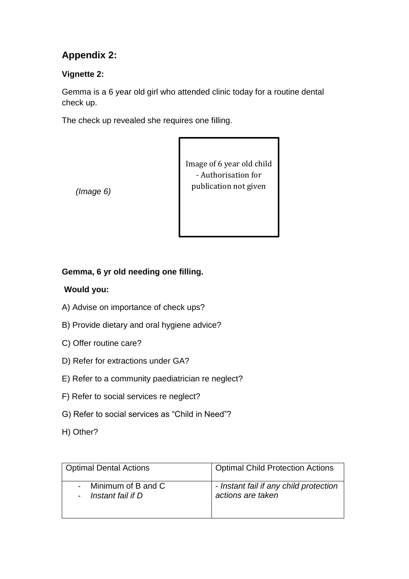# **Appendix 2:**

# **Vignette 2:**

Gemma is a 6 year old girl who attended clinic today for a routine dental check up.

The check up revealed she requires one filling.

(Image 6)

Image of 6 year old child - Authorisation for publication not given

# **Gemma, 6 yr old needing one filling.**

# **Would you:**

- A) Advise on importance of check ups?
- B) Provide dietary and oral hygiene advice?
- C) Offer routine care?
- D) Refer for extractions under GA?
- E) Refer to a community paediatrician re neglect?
- F) Refer to social services re neglect?
- G) Refer to social services as "Child in Need"?
- H) Other?

| <b>Optimal Dental Actions</b> | <b>Optimal Child Protection Actions</b> |
|-------------------------------|-----------------------------------------|
| - Minimum of B and C          | - Instant fail if any child protection  |
| - Instant fail if D           | actions are taken                       |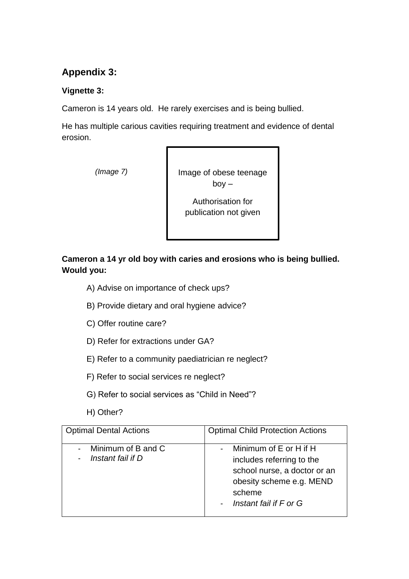# **Appendix 3:**

# **Vignette 3:**

Cameron is 14 years old. He rarely exercises and is being bullied.

He has multiple carious cavities requiring treatment and evidence of dental erosion.

(Image 7)

Image of obese teenage boy –

Authorisation for publication not given

**Cameron a 14 yr old boy with caries and erosions who is being bullied. Would you:** 

- A) Advise on importance of check ups?
- B) Provide dietary and oral hygiene advice?
- C) Offer routine care?
- D) Refer for extractions under GA?
- E) Refer to a community paediatrician re neglect?
- F) Refer to social services re neglect?
- G) Refer to social services as "Child in Need"?
- H) Other?

| <b>Optimal Dental Actions</b>           | <b>Optimal Child Protection Actions</b>                                                                                                             |
|-----------------------------------------|-----------------------------------------------------------------------------------------------------------------------------------------------------|
| Minimum of B and C<br>Instant fail if D | Minimum of E or H if H<br>includes referring to the<br>school nurse, a doctor or an<br>obesity scheme e.g. MEND<br>scheme<br>Instant fail if F or G |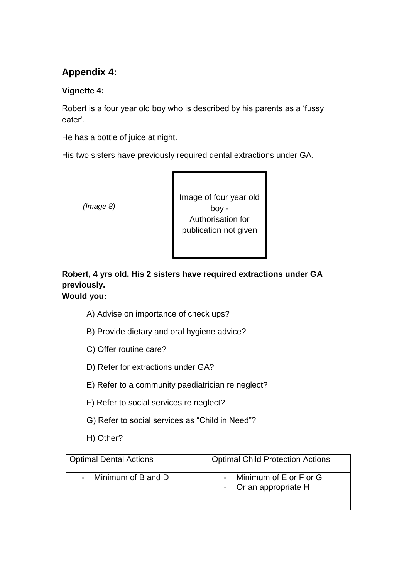# **Appendix 4:**

# **Vignette 4:**

Robert is a four year old boy who is described by his parents as a 'fussy eater'.

He has a bottle of juice at night.

His two sisters have previously required dental extractions under GA.

(Image 8)

Image of four year old boy - Authorisation for publication not given

# **Robert, 4 yrs old. His 2 sisters have required extractions under GA previously. Would you:**

- A) Advise on importance of check ups?
- B) Provide dietary and oral hygiene advice?
- C) Offer routine care?
- D) Refer for extractions under GA?
- E) Refer to a community paediatrician re neglect?
- F) Refer to social services re neglect?
- G) Refer to social services as "Child in Need"?
- H) Other?

| <b>Optimal Dental Actions</b> | <b>Optimal Child Protection Actions</b>           |
|-------------------------------|---------------------------------------------------|
| - Minimum of B and D          | - Minimum of E or F or G<br>- Or an appropriate H |